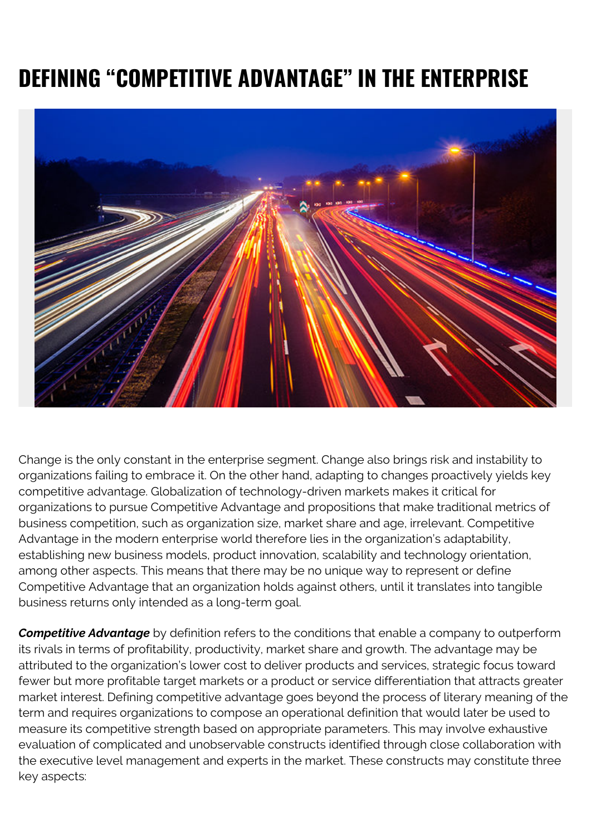## **DEFINING "COMPETITIVE ADVANTAGE" IN THE ENTERPRISE**



Change is the only constant in the enterprise segment. Change also brings risk and instability to organizations failing to embrace it. On the other hand, adapting to changes proactively yields key competitive advantage. Globalization of technology-driven markets makes it critical for organizations to pursue Competitive Advantage and propositions that make traditional metrics of business competition, such as organization size, market share and age, irrelevant. Competitive Advantage in the modern enterprise world therefore lies in the organization's adaptability, establishing new business models, product innovation, scalability and technology orientation, among other aspects. This means that there may be no unique way to represent or define Competitive Advantage that an organization holds against others, until it translates into tangible business returns only intended as a long-term goal.

*Competitive Advantage* by definition refers to the conditions that enable a company to outperform its rivals in terms of profitability, productivity, market share and growth. The advantage may be attributed to the organization's lower cost to deliver products and services, strategic focus toward fewer but more profitable target markets or a product or service differentiation that attracts greater market interest. Defining competitive advantage goes beyond the process of literary meaning of the term and requires organizations to compose an operational definition that would later be used to measure its competitive strength based on appropriate parameters. This may involve exhaustive evaluation of complicated and unobservable constructs identified through close collaboration with the executive level management and experts in the market. These constructs may constitute three key aspects: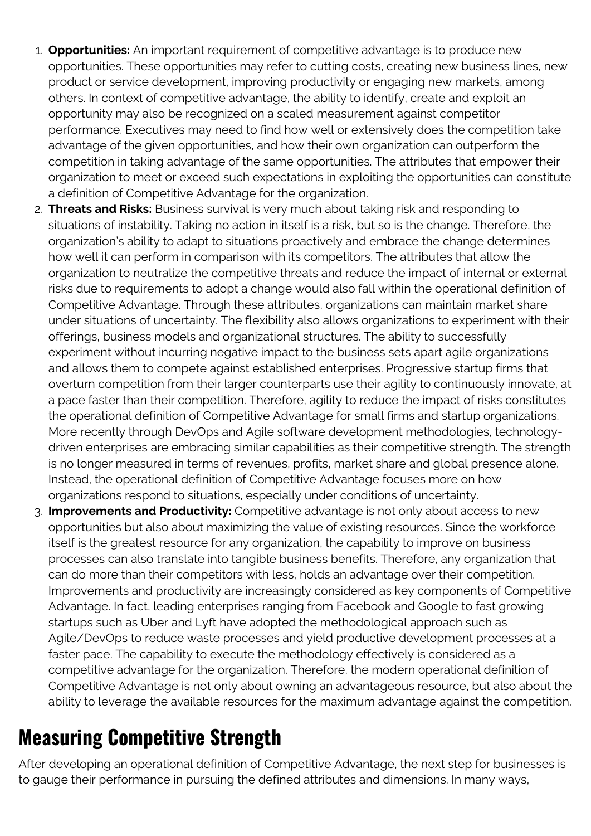- 1. **Opportunities:** An important requirement of competitive advantage is to produce new opportunities. These opportunities may refer to cutting costs, creating new business lines, new product or service development, improving productivity or engaging new markets, among others. In context of competitive advantage, the ability to identify, create and exploit an opportunity may also be recognized on a scaled measurement against competitor performance. Executives may need to find how well or extensively does the competition take advantage of the given opportunities, and how their own organization can outperform the competition in taking advantage of the same opportunities. The attributes that empower their organization to meet or exceed such expectations in exploiting the opportunities can constitute a definition of Competitive Advantage for the organization.
- 2. **Threats and Risks:** Business survival is very much about taking risk and responding to situations of instability. Taking no action in itself is a risk, but so is the change. Therefore, the organization's ability to adapt to situations proactively and embrace the change determines how well it can perform in comparison with its competitors. The attributes that allow the organization to neutralize the competitive threats and reduce the impact of internal or external risks due to requirements to adopt a change would also fall within the operational definition of Competitive Advantage. Through these attributes, organizations can maintain market share under situations of uncertainty. The flexibility also allows organizations to experiment with their offerings, business models and organizational structures. The ability to successfully experiment without incurring negative impact to the business sets apart agile organizations and allows them to compete against established enterprises. Progressive startup firms that overturn competition from their larger counterparts use their agility to continuously innovate, at a pace faster than their competition. Therefore, agility to reduce the impact of risks constitutes the operational definition of Competitive Advantage for small firms and startup organizations. More recently through DevOps and Agile software development methodologies, technologydriven enterprises are embracing similar capabilities as their competitive strength. The strength is no longer measured in terms of revenues, profits, market share and global presence alone. Instead, the operational definition of Competitive Advantage focuses more on how organizations respond to situations, especially under conditions of uncertainty.
- 3. **Improvements and Productivity:** Competitive advantage is not only about access to new opportunities but also about maximizing the value of existing resources. Since the workforce itself is the greatest resource for any organization, the capability to improve on business processes can also translate into tangible business benefits. Therefore, any organization that can do more than their competitors with less, holds an advantage over their competition. Improvements and productivity are increasingly considered as key components of Competitive Advantage. In fact, leading enterprises ranging from Facebook and Google to fast growing startups such as Uber and Lyft have adopted the methodological approach such as Agile/DevOps to reduce waste processes and yield productive development processes at a faster pace. The capability to execute the methodology effectively is considered as a competitive advantage for the organization. Therefore, the modern operational definition of Competitive Advantage is not only about owning an advantageous resource, but also about the ability to leverage the available resources for the maximum advantage against the competition.

## **Measuring Competitive Strength**

After developing an operational definition of Competitive Advantage, the next step for businesses is to gauge their performance in pursuing the defined attributes and dimensions. In many ways,